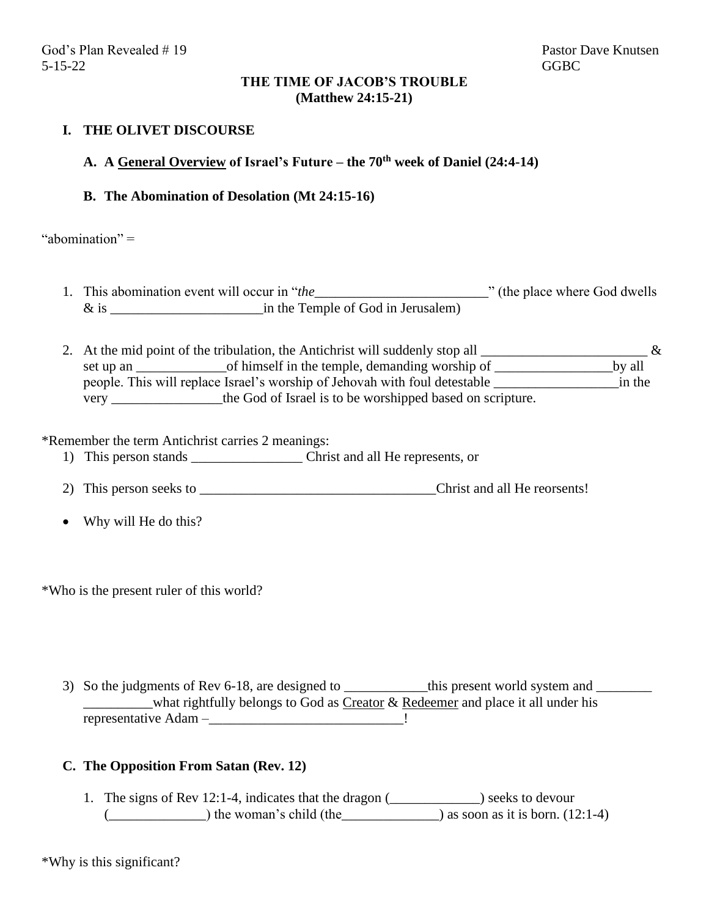#### **THE TIME OF JACOB'S TROUBLE (Matthew 24:15-21)**

### **I. THE OLIVET DISCOURSE**

# **A. A General Overview of Israel's Future – the 70th week of Daniel (24:4-14)**

#### **B. The Abomination of Desolation (Mt 24:15-16)**

"abomination" =

- 1. This abomination event will occur in "*the\_\_\_\_\_\_\_\_\_\_\_\_\_\_\_\_\_\_\_\_\_\_\_\_\_*" (the place where God dwells & is \_\_\_\_\_\_\_\_\_\_\_\_\_\_\_\_\_\_\_\_\_\_in the Temple of God in Jerusalem)
- 2. At the mid point of the tribulation, the Antichrist will suddenly stop all  $\frac{1}{\sqrt{2}}$ set up an \_\_\_\_\_\_\_\_\_\_\_\_\_\_\_\_\_\_\_\_of himself in the temple, demanding worship of \_\_\_\_\_\_\_\_\_\_\_\_\_\_\_\_\_\_\_\_\_\_\_\_\_\_\_\_\_\_\_by all people. This will replace Israel's worship of Jehovah with foul detestable \_\_\_\_\_\_\_\_\_\_\_\_\_\_\_\_\_\_in the very \_\_\_\_\_\_\_\_\_\_\_\_\_\_\_\_the God of Israel is to be worshipped based on scripture.

\*Remember the term Antichrist carries 2 meanings:

- 1) This person stands \_\_\_\_\_\_\_\_\_\_\_\_\_\_\_\_ Christ and all He represents, or
- 2) This person seeks to \_\_\_\_\_\_\_\_\_\_\_\_\_\_\_\_\_\_\_\_\_\_\_\_\_\_\_\_\_\_\_\_\_\_Christ and all He reorsents!
- Why will He do this?

\*Who is the present ruler of this world?

3) So the judgments of Rev 6-18, are designed to \_\_\_\_\_\_\_\_\_\_\_\_\_this present world system and \_\_\_\_\_\_\_\_ what rightfully belongs to God as Creator  $\&$  Redeemer and place it all under his representative Adam –\_\_\_\_\_\_\_\_\_\_\_\_\_\_\_\_\_\_\_\_\_\_\_\_\_\_\_\_!

#### **C. The Opposition From Satan (Rev. 12)**

1. The signs of Rev 12:1-4, indicates that the dragon (\_\_\_\_\_\_\_\_\_\_\_\_\_) seeks to devour  $(\underline{\hspace{1cm}})$  the woman's child (the  $\underline{\hspace{1cm}}$ ) as soon as it is born. (12:1-4)